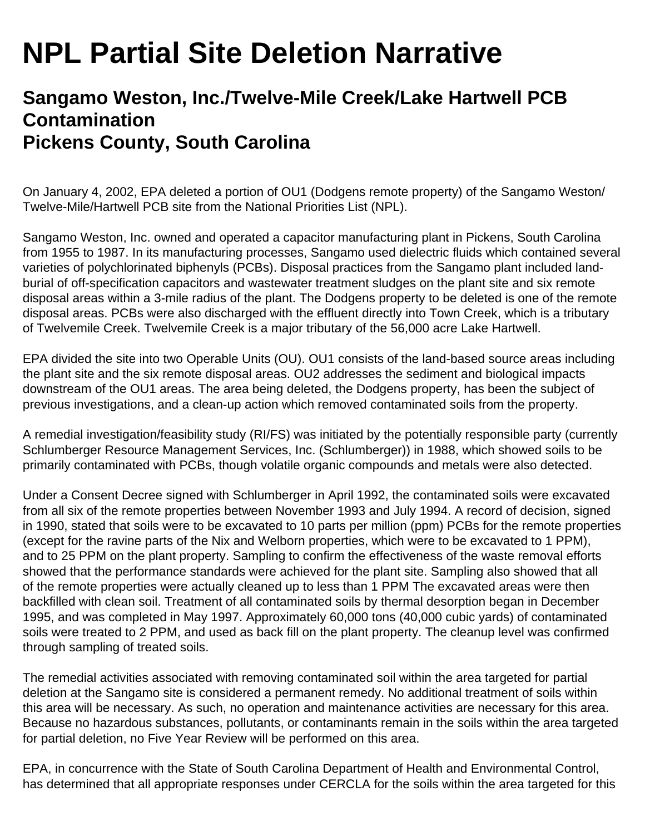## **NPL Partial Site Deletion Narrative**

## **Sangamo Weston, Inc./Twelve-Mile Creek/Lake Hartwell PCB Contamination Pickens County, South Carolina**

On January 4, 2002, EPA deleted a portion of OU1 (Dodgens remote property) of the Sangamo Weston/ Twelve-Mile/Hartwell PCB site from the National Priorities List (NPL).

Sangamo Weston, Inc. owned and operated a capacitor manufacturing plant in Pickens, South Carolina from 1955 to 1987. In its manufacturing processes, Sangamo used dielectric fluids which contained several varieties of polychlorinated biphenyls (PCBs). Disposal practices from the Sangamo plant included landburial of off-specification capacitors and wastewater treatment sludges on the plant site and six remote disposal areas within a 3-mile radius of the plant. The Dodgens property to be deleted is one of the remote disposal areas. PCBs were also discharged with the effluent directly into Town Creek, which is a tributary of Twelvemile Creek. Twelvemile Creek is a major tributary of the 56,000 acre Lake Hartwell.

EPA divided the site into two Operable Units (OU). OU1 consists of the land-based source areas including the plant site and the six remote disposal areas. OU2 addresses the sediment and biological impacts downstream of the OU1 areas. The area being deleted, the Dodgens property, has been the subject of previous investigations, and a clean-up action which removed contaminated soils from the property.

A remedial investigation/feasibility study (RI/FS) was initiated by the potentially responsible party (currently Schlumberger Resource Management Services, Inc. (Schlumberger)) in 1988, which showed soils to be primarily contaminated with PCBs, though volatile organic compounds and metals were also detected.

Under a Consent Decree signed with Schlumberger in April 1992, the contaminated soils were excavated from all six of the remote properties between November 1993 and July 1994. A record of decision, signed in 1990, stated that soils were to be excavated to 10 parts per million (ppm) PCBs for the remote properties (except for the ravine parts of the Nix and Welborn properties, which were to be excavated to 1 PPM), and to 25 PPM on the plant property. Sampling to confirm the effectiveness of the waste removal efforts showed that the performance standards were achieved for the plant site. Sampling also showed that all of the remote properties were actually cleaned up to less than 1 PPM The excavated areas were then backfilled with clean soil. Treatment of all contaminated soils by thermal desorption began in December 1995, and was completed in May 1997. Approximately 60,000 tons (40,000 cubic yards) of contaminated soils were treated to 2 PPM, and used as back fill on the plant property. The cleanup level was confirmed through sampling of treated soils.

The remedial activities associated with removing contaminated soil within the area targeted for partial deletion at the Sangamo site is considered a permanent remedy. No additional treatment of soils within this area will be necessary. As such, no operation and maintenance activities are necessary for this area. Because no hazardous substances, pollutants, or contaminants remain in the soils within the area targeted for partial deletion, no Five Year Review will be performed on this area.

EPA, in concurrence with the State of South Carolina Department of Health and Environmental Control, has determined that all appropriate responses under CERCLA for the soils within the area targeted for this